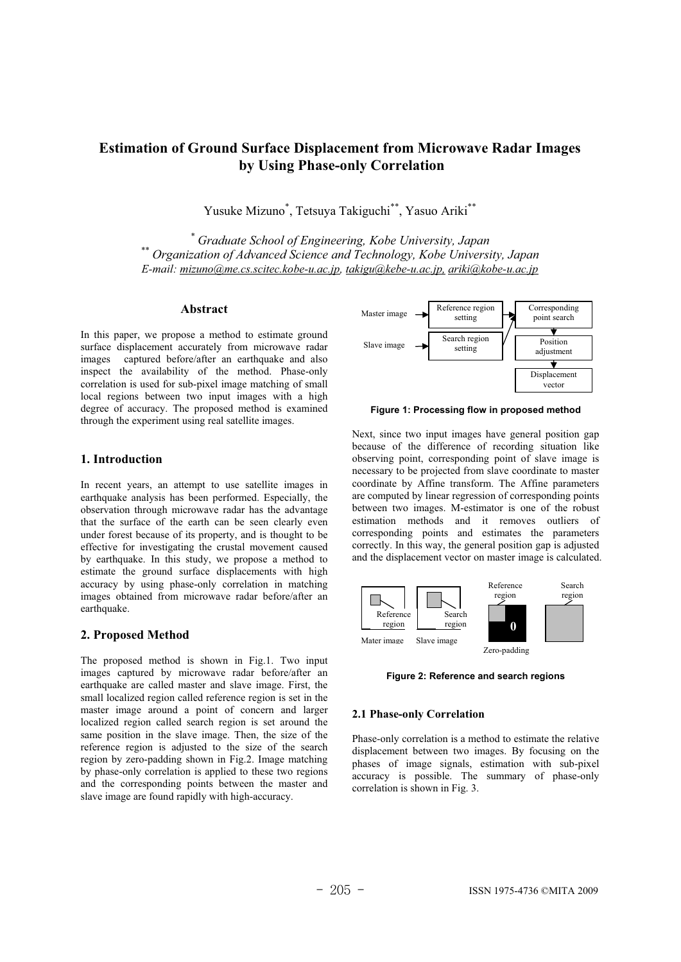# **Estimation of Ground Surface Displacement from Microwave Radar Images by Using Phase-only Correlation**

Yusuke Mizuno\* , Tetsuya Takiguchi\*\*, Yasuo Ariki\*\*

<sup>\*</sup> Graduate School of Engineering, Kobe University, Japan <sup>\*\*</sup> Organization of Advanced Science and Technology, Kobe University, Japan *E-mail: mizuno@me.cs.scitec.kobe-u.ac.jp, takigu@kebe-u.ac.jp, ariki@kobe-u.ac.jp*

## **Abstract**

In this paper, we propose a method to estimate ground surface displacement accurately from microwave radar images captured before/after an earthquake and also inspect the availability of the method. Phase-only correlation is used for sub-pixel image matching of small local regions between two input images with a high degree of accuracy. The proposed method is examined through the experiment using real satellite images.

## **1. Introduction**

In recent years, an attempt to use satellite images in earthquake analysis has been performed. Especially, the observation through microwave radar has the advantage that the surface of the earth can be seen clearly even under forest because of its property, and is thought to be effective for investigating the crustal movement caused by earthquake. In this study, we propose a method to estimate the ground surface displacements with high accuracy by using phase-only correlation in matching images obtained from microwave radar before/after an earthquake.

## **2. Proposed Method**

The proposed method is shown in Fig.1. Two input images captured by microwave radar before/after an earthquake are called master and slave image. First, the small localized region called reference region is set in the master image around a point of concern and larger localized region called search region is set around the same position in the slave image. Then, the size of the reference region is adjusted to the size of the search region by zero-padding shown in Fig.2. Image matching by phase-only correlation is applied to these two regions and the corresponding points between the master and slave image are found rapidly with high-accuracy.



**Figure 1: Processing flow in proposed method** 

Next, since two input images have general position gap because of the difference of recording situation like observing point, corresponding point of slave image is necessary to be projected from slave coordinate to master coordinate by Affine transform. The Affine parameters are computed by linear regression of corresponding points between two images. M-estimator is one of the robust estimation methods and it removes outliers of corresponding points and estimates the parameters correctly. In this way, the general position gap is adjusted and the displacement vector on master image is calculated.



**Figure 2: Reference and search regions** 

#### **2.1 Phase-only Correlation**

Phase-only correlation is a method to estimate the relative displacement between two images. By focusing on the phases of image signals, estimation with sub-pixel accuracy is possible. The summary of phase-only correlation is shown in Fig. 3.